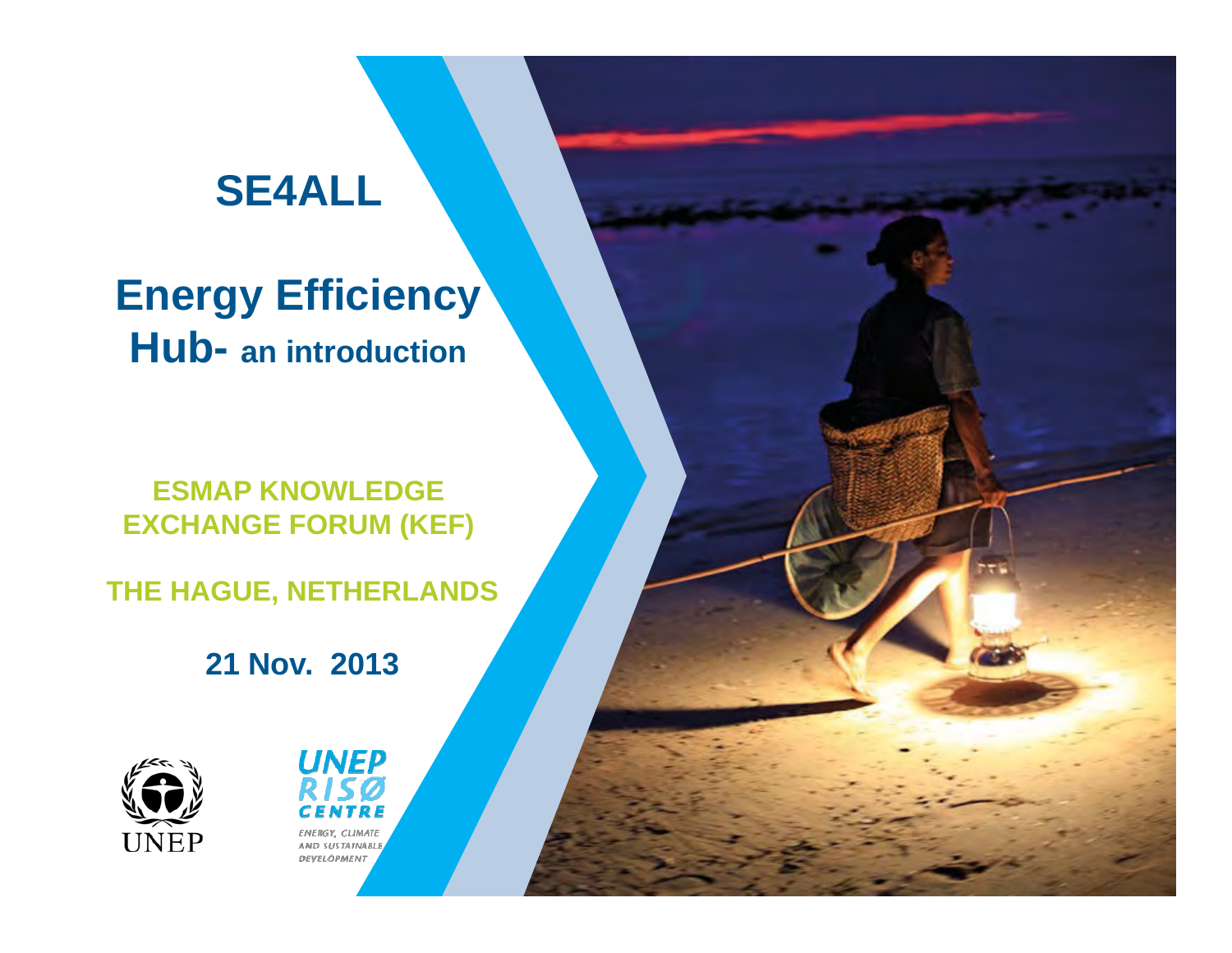# **SE4ALL**

**Energy Efficiency Hub- an introduction**

**ESMAP KNOWLEDGE EXCHANGE FORUM (KEF)** 

**THE HAGUE, NETHERLANDS**

**21 Nov. 2013**



**UNEP FNERGY CLIMATE** AND SUSTAINABL **DEYELOPMENT**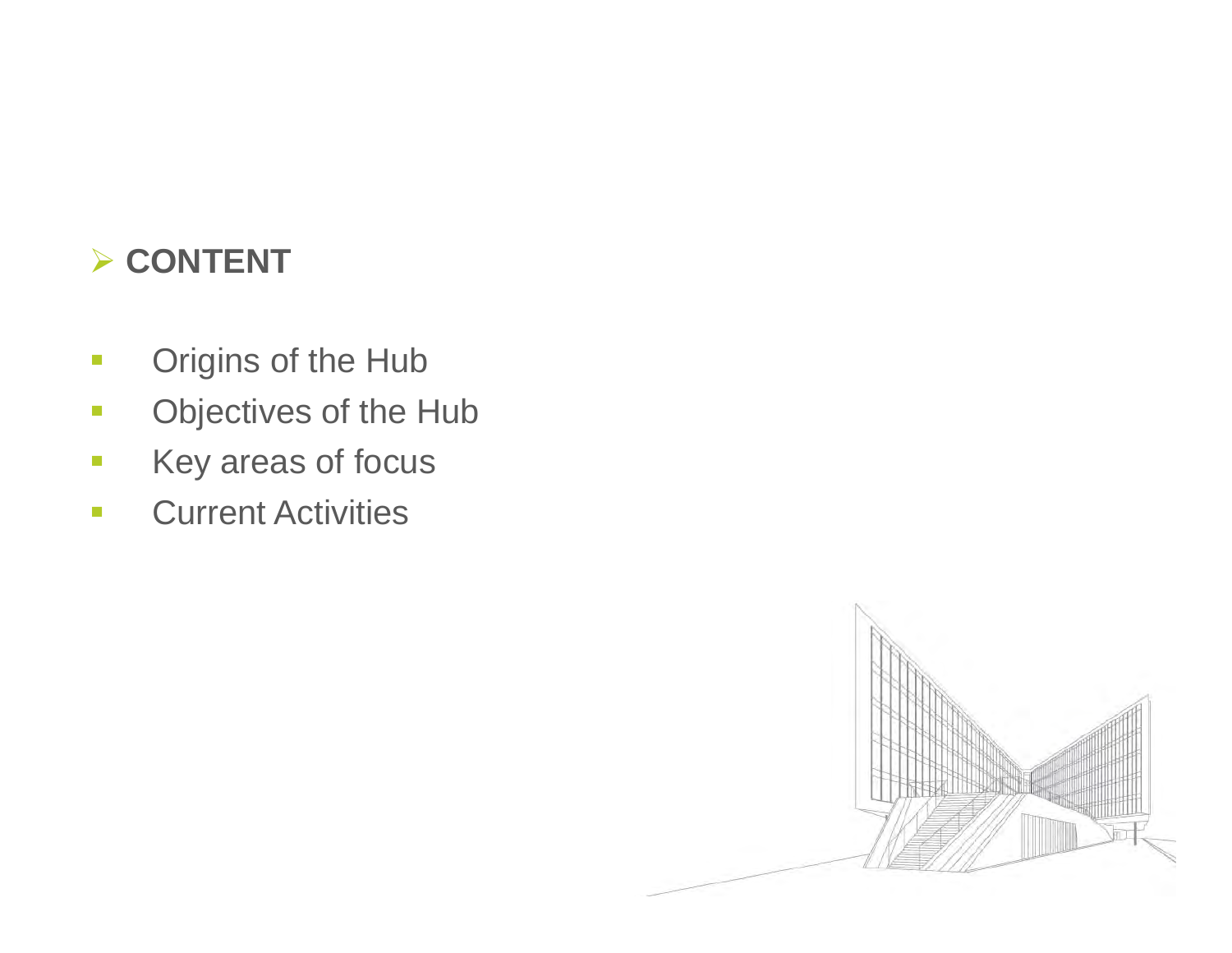#### **CONTENT**

- $\mathbb{R}^n$ Origins of the Hub
- $\mathbb{R}^3$ Objectives of the Hub
- $\mathbb{R}^3$ Key areas of focus
- $\mathbb{R}^3$ Current Activities

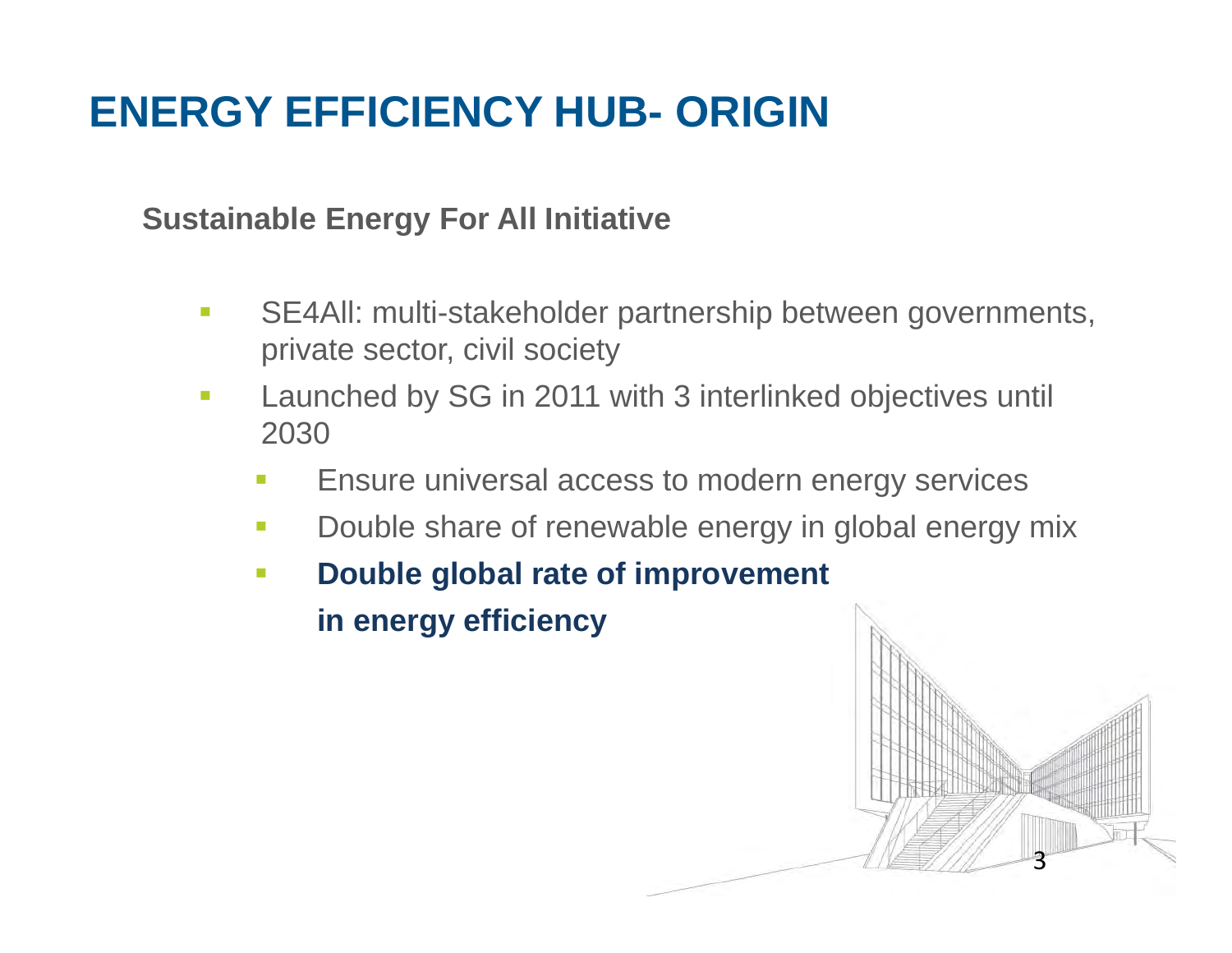# **ENERGY EFFICIENCY HUB- ORIGIN**

#### **Sustainable Energy For All Initiative**

- $\mathbb{R}^3$  SE4All: multi-stakeholder partnership between governments, private sector, civil society
- $\mathbb{R}^3$  Launched by SG in 2011 with 3 interlinked objectives until 2030
	- п Ensure universal access to modern energy services
	- $\mathcal{L}_{\mathcal{A}}$ Double share of renewable energy in global energy mix
	- $\mathcal{L}^{\mathcal{A}}$  **Double global rate of improvement in energy efficiency**

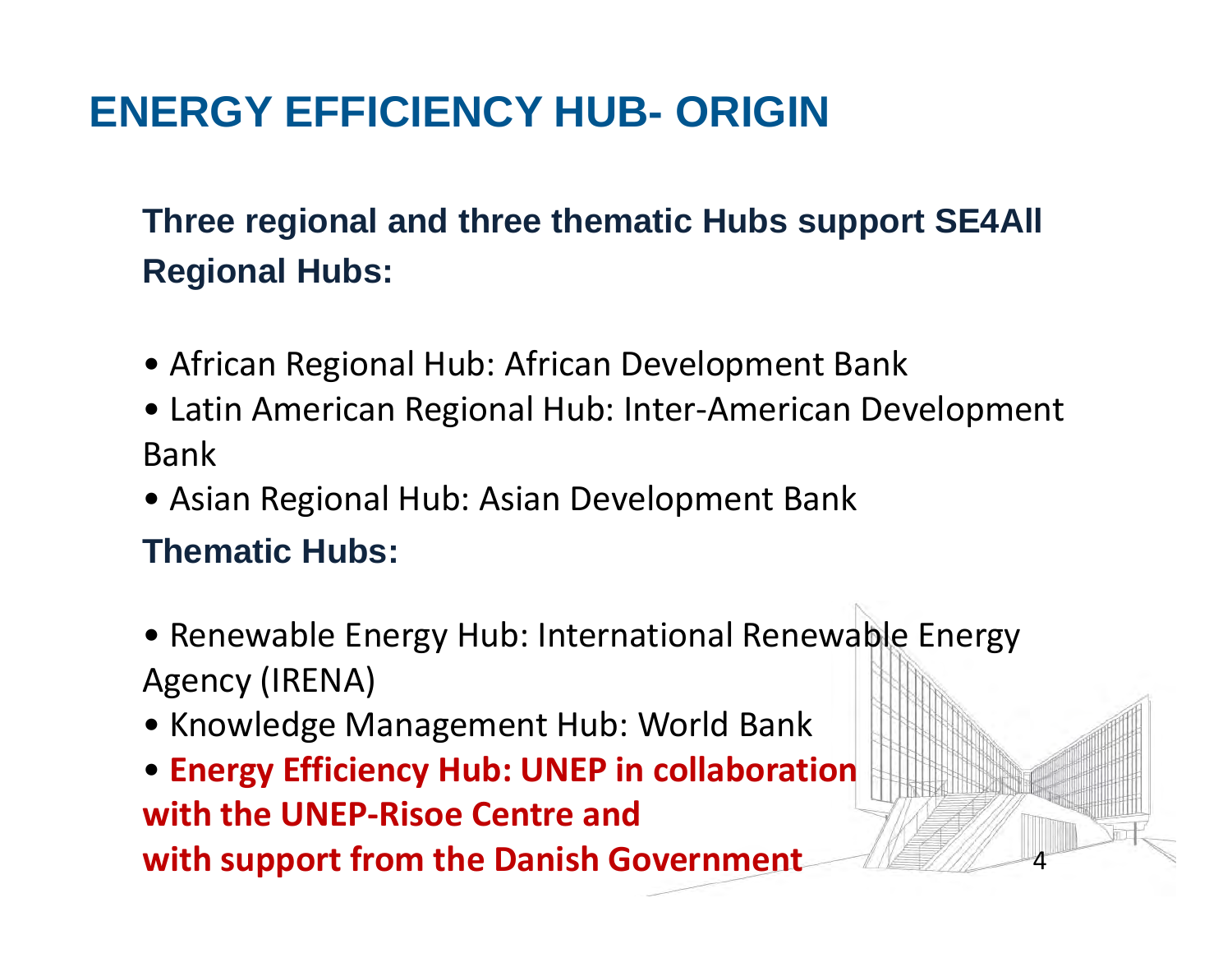# **ENERGY EFFICIENCY HUB- ORIGIN**

### **Three regional and three thematic Hubs support SE4All Regional Hubs:**

- African Regional Hub: African Development Bank
- Latin American Regional Hub: Inter ‐American Development Bank
- Asian Regional Hub: Asian Development Bank

#### **Thematic Hubs:**

• Renewable Energy Hub: International Renewable Energy Agency (IRENA)

4

- Knowledge Management Hub: World Bank
- **Energy Efficiency Hub: UNEP in collaboration with the UNEP ‐Risoe Centre andwith support from the Danish Government**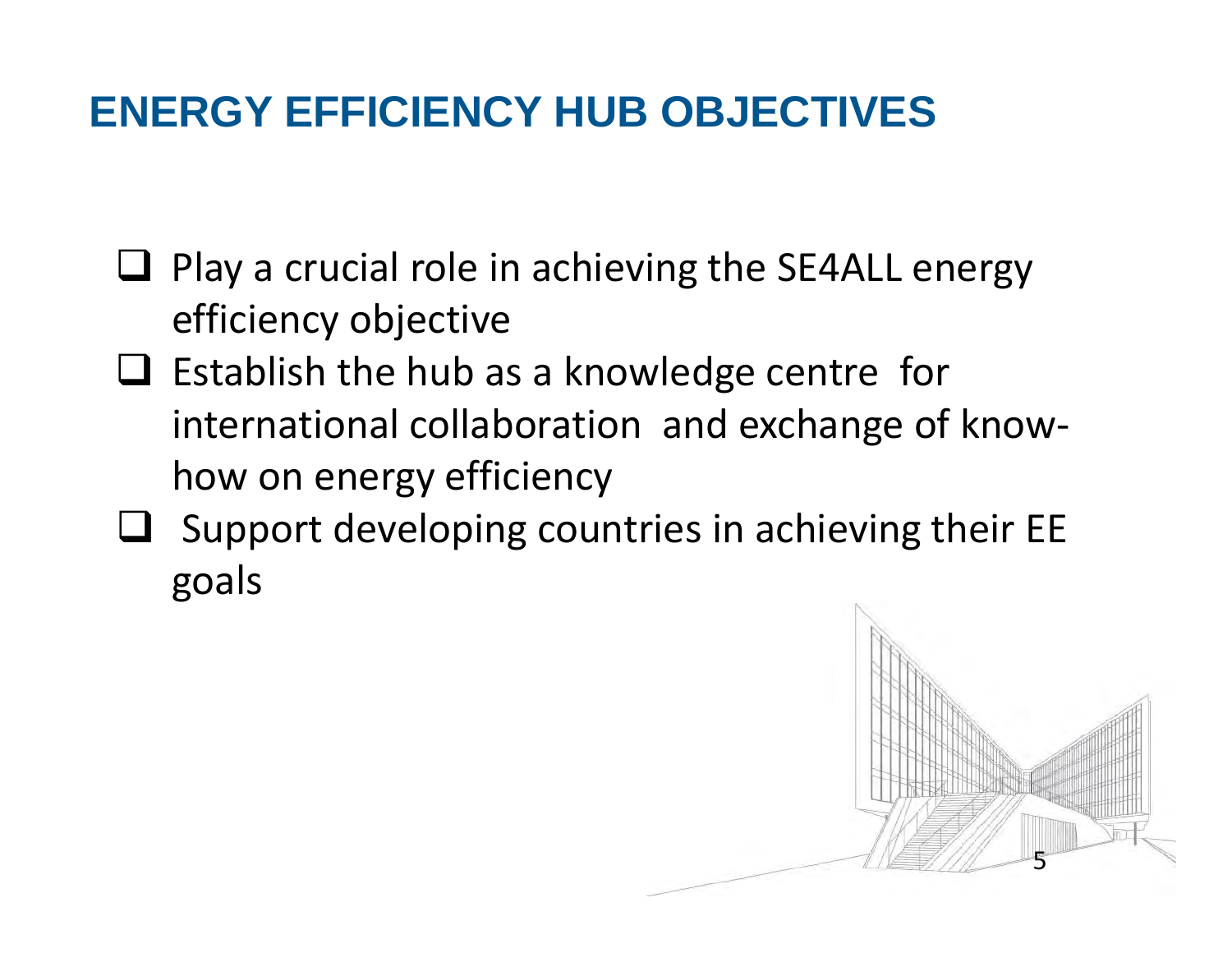## **ENERGY EFFICIENCY HUB OBJECTIVES**

- $\Box$  Play a crucial role in achieving the SE4ALL energy efficiency objective
- $\Box$  Establish the hub as a knowledge centre for international collaboration and exchange of know ‐ how on energy efficiency
- $\Box$  Support developing countries in achieving their EE goals

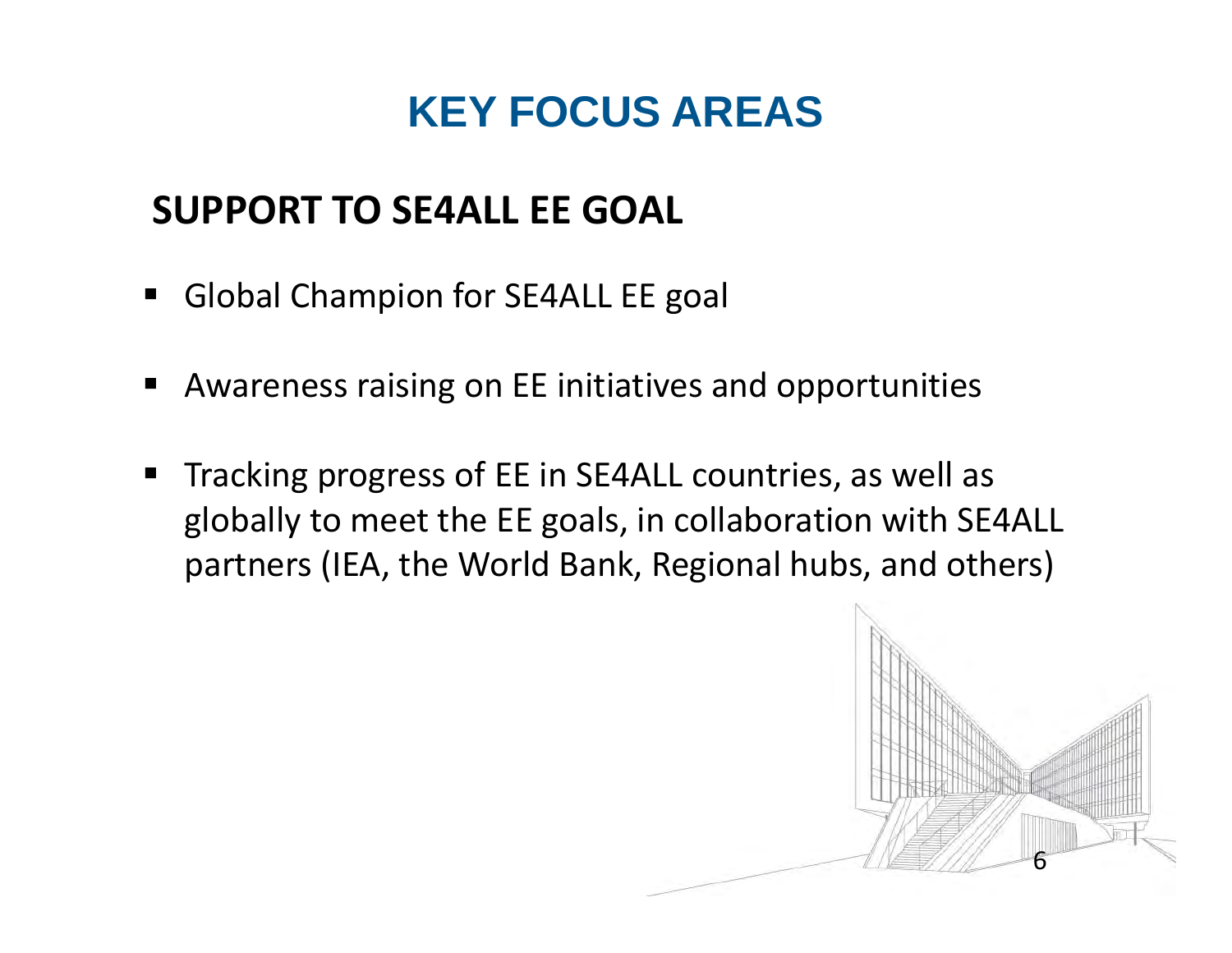## **KEY FOCUS AREAS**

### **SUPPORT TO SE4ALL EE GOAL**

- $\blacksquare$ Global Champion for SE4ALL EE goal
- ٠ Awareness raising on EE initiatives and opportunities
- ٠ Tracking progress of EE in SE4ALL countries, as well as globally to meet the EE goals, in collaboration with SE4ALL partners (IEA, the World Bank, Regional hubs, and others)

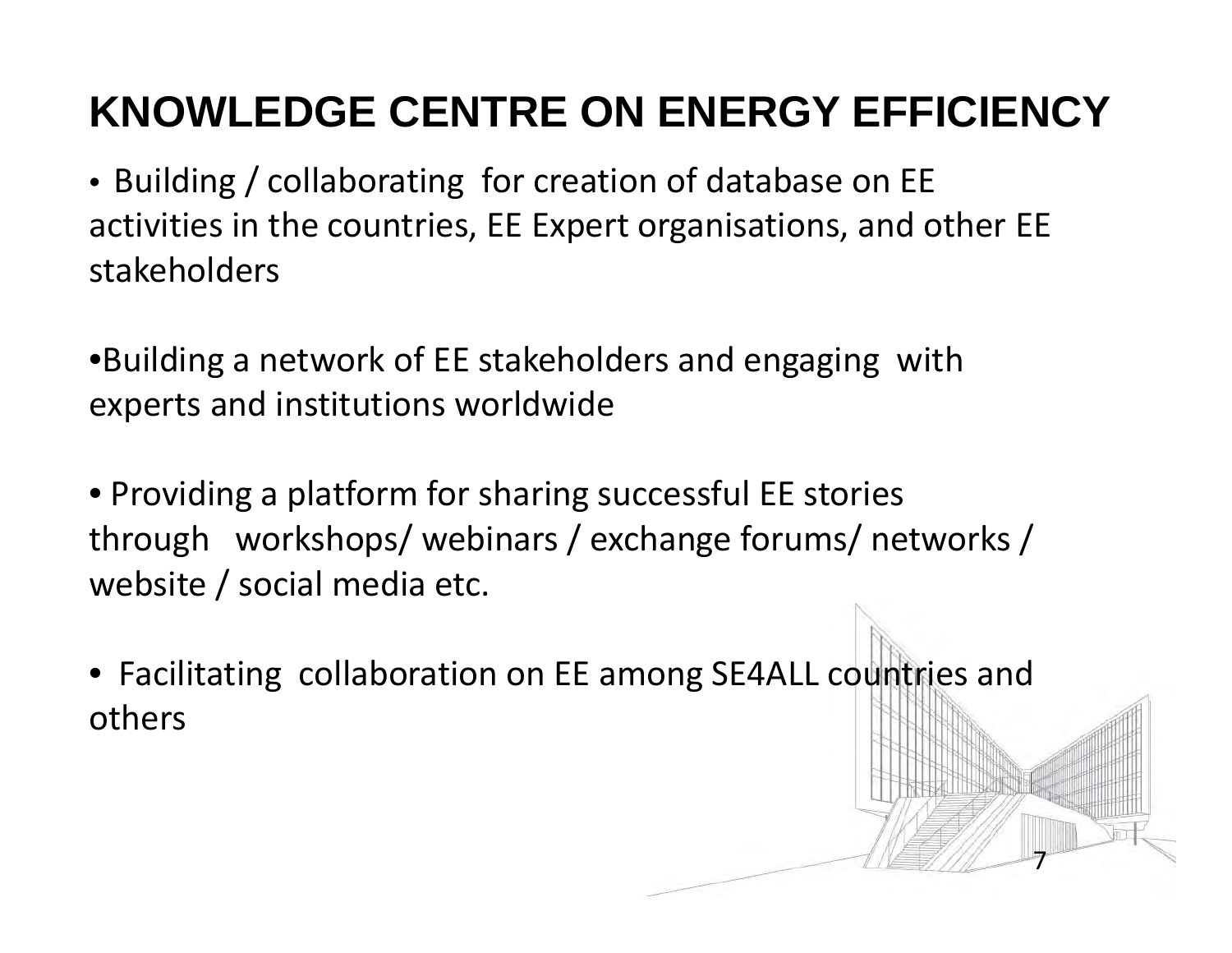# **KNOWLEDGE CENTRE ON ENERGY EFFICIENCY**

- Building / collaborating for creation of database on EE activities in the countries, EE Expert organisations, and other EE stakeholders
- •Building a network of EE stakeholders and engaging with experts and institutions worldwide
- Providing a platform for sharing successful EE stories through workshops/ webinars / exchange forums/ networks / website / social media etc.
- Facilitating collaboration on EE among SE4ALL countries and others

7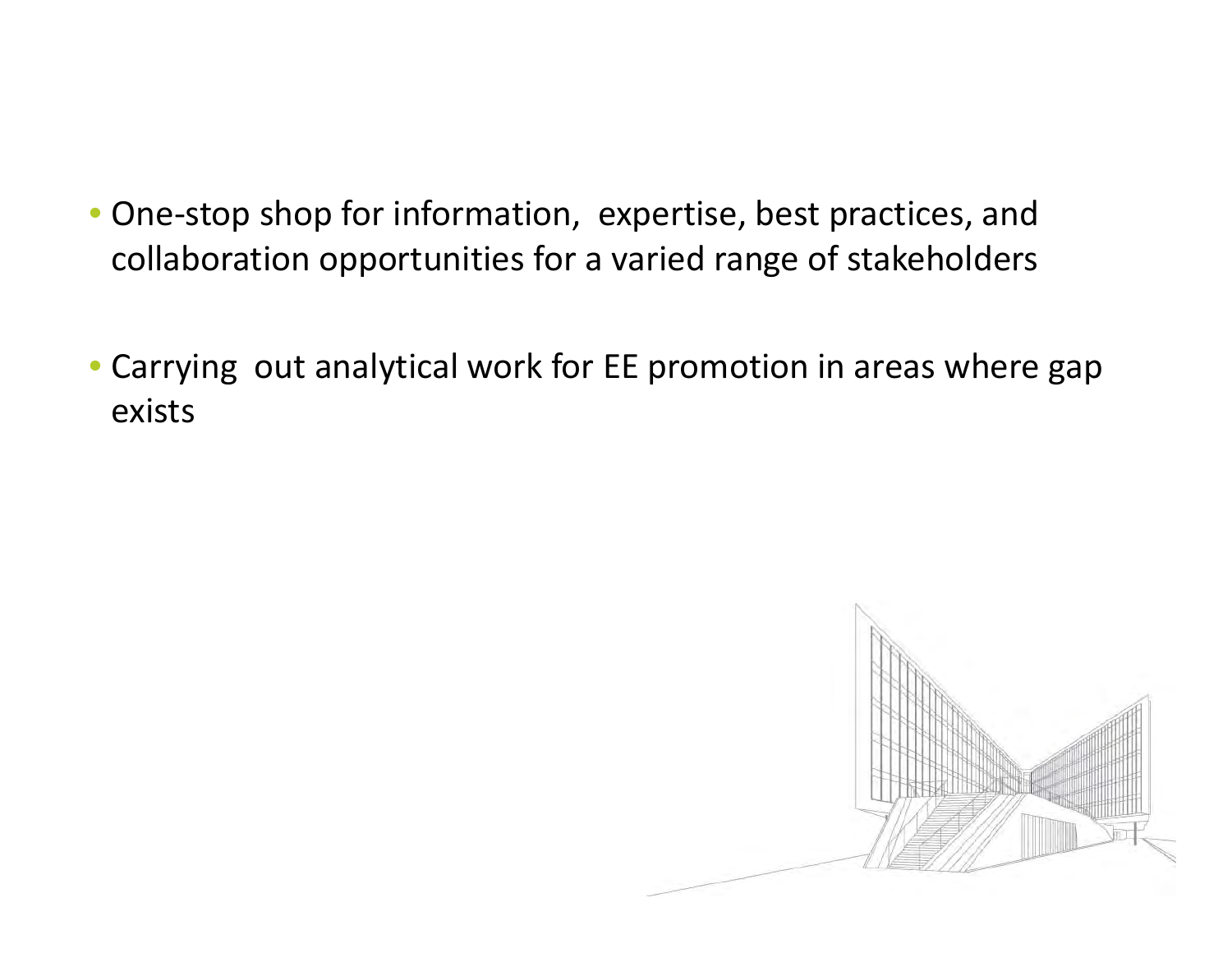- One-stop shop for information, expertise, best practices, and collaboration opportunities for <sup>a</sup> varied range of stakeholders
- Carrying out analytical work for EE promotion in areas where gap exists

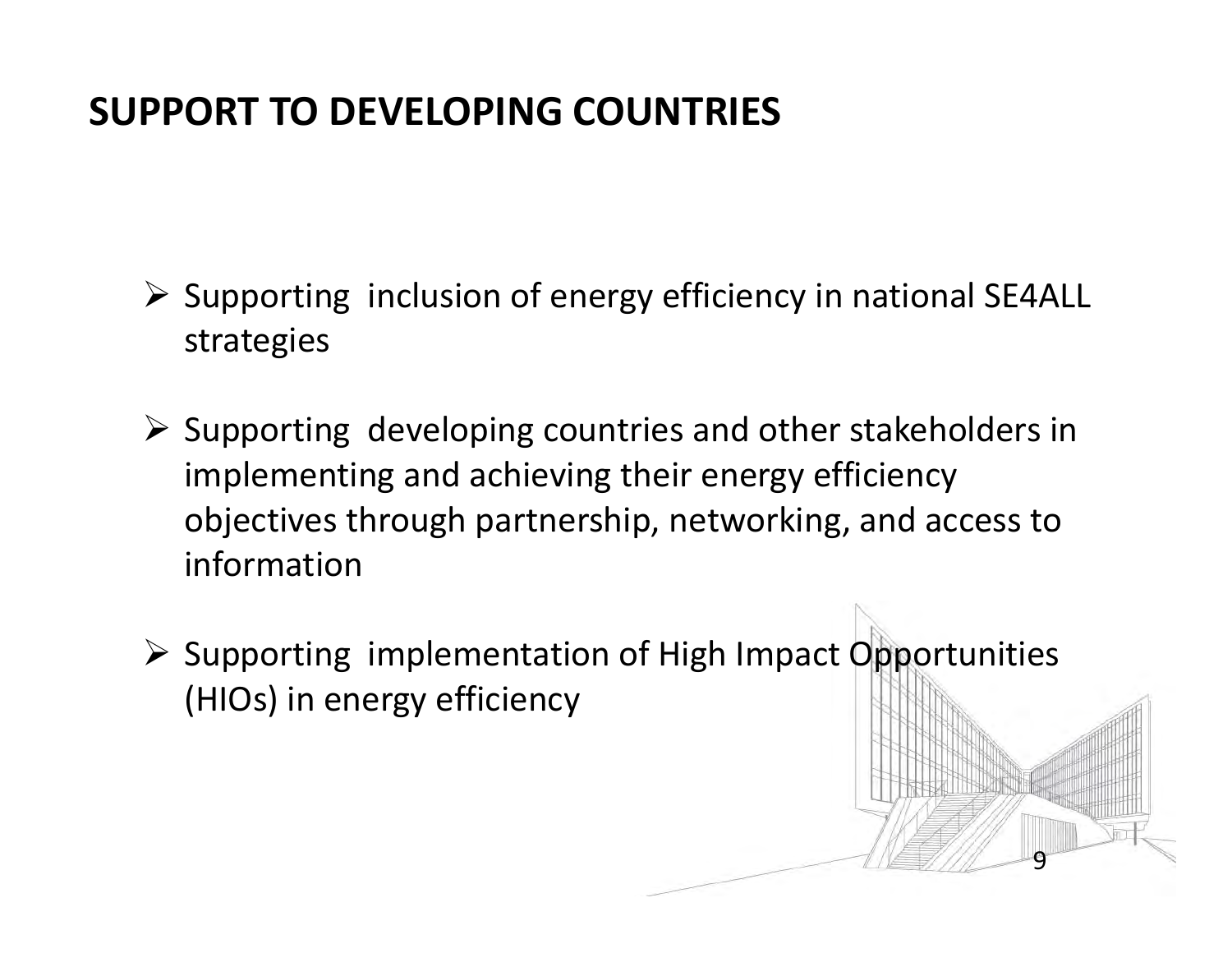### **SUPPORT TO DEVELOPING COUNTRIES**

- $\triangleright$  Supporting inclusion of energy efficiency in national SE4ALL strategies
- $\triangleright$  Supporting developing countries and other stakeholders in implementing and achieving their energy efficiency objectives through partnership, networking, and access to information
- $\triangleright$  Supporting implementation of High Impact Opportunities (HIOs) in energy efficiency

9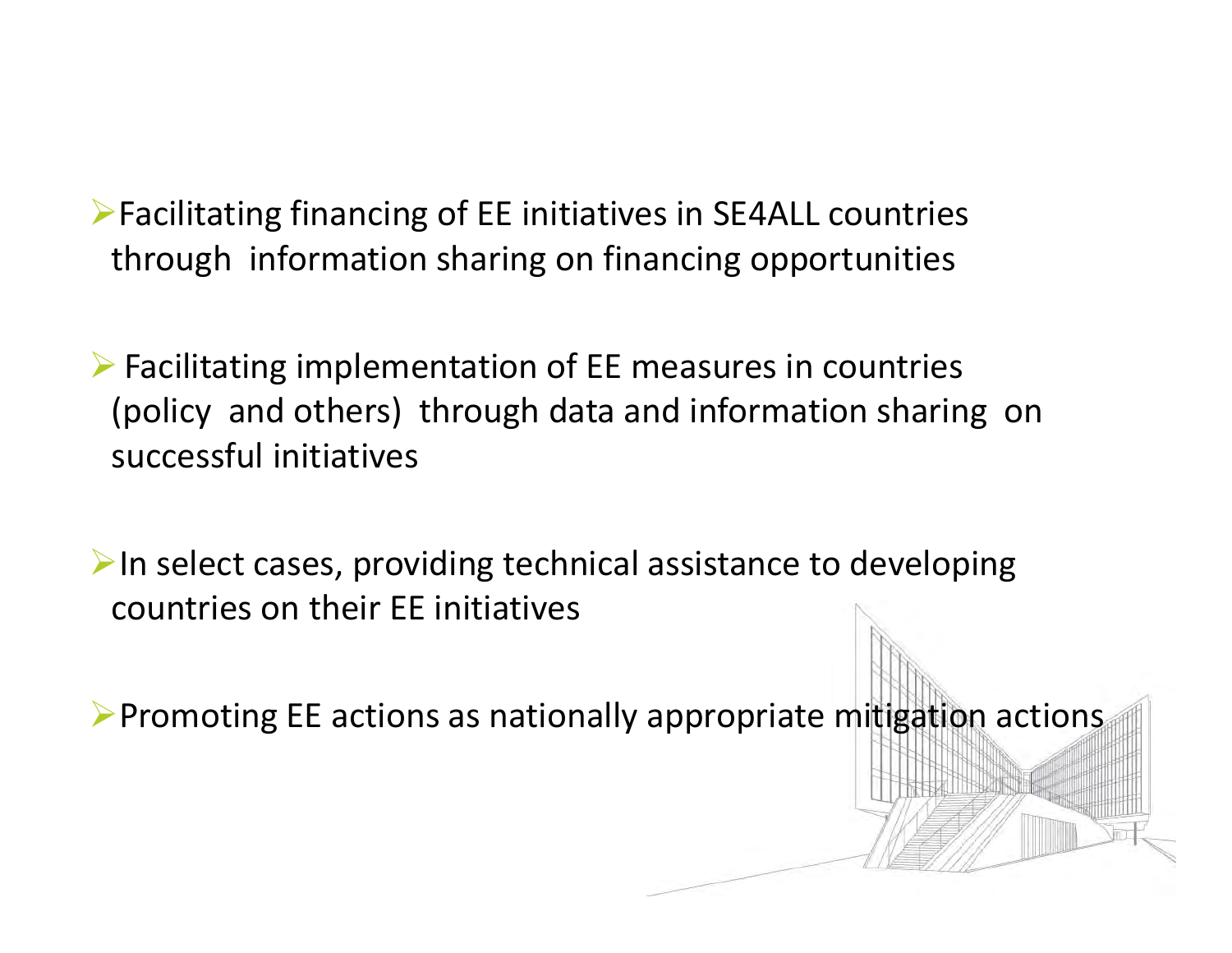Facilitating financing of EE initiatives in SE4ALL countries through information sharing on financing opportunities

 $\triangleright$  Facilitating implementation of EE measures in countries (policy and others) through data and information sharing on successful initiatives

 $\blacktriangleright$  In select cases, providing technical assistance to developing countries on their EE initiatives

 $\triangleright$  Promoting EE actions as nationally appropriate mitigation actions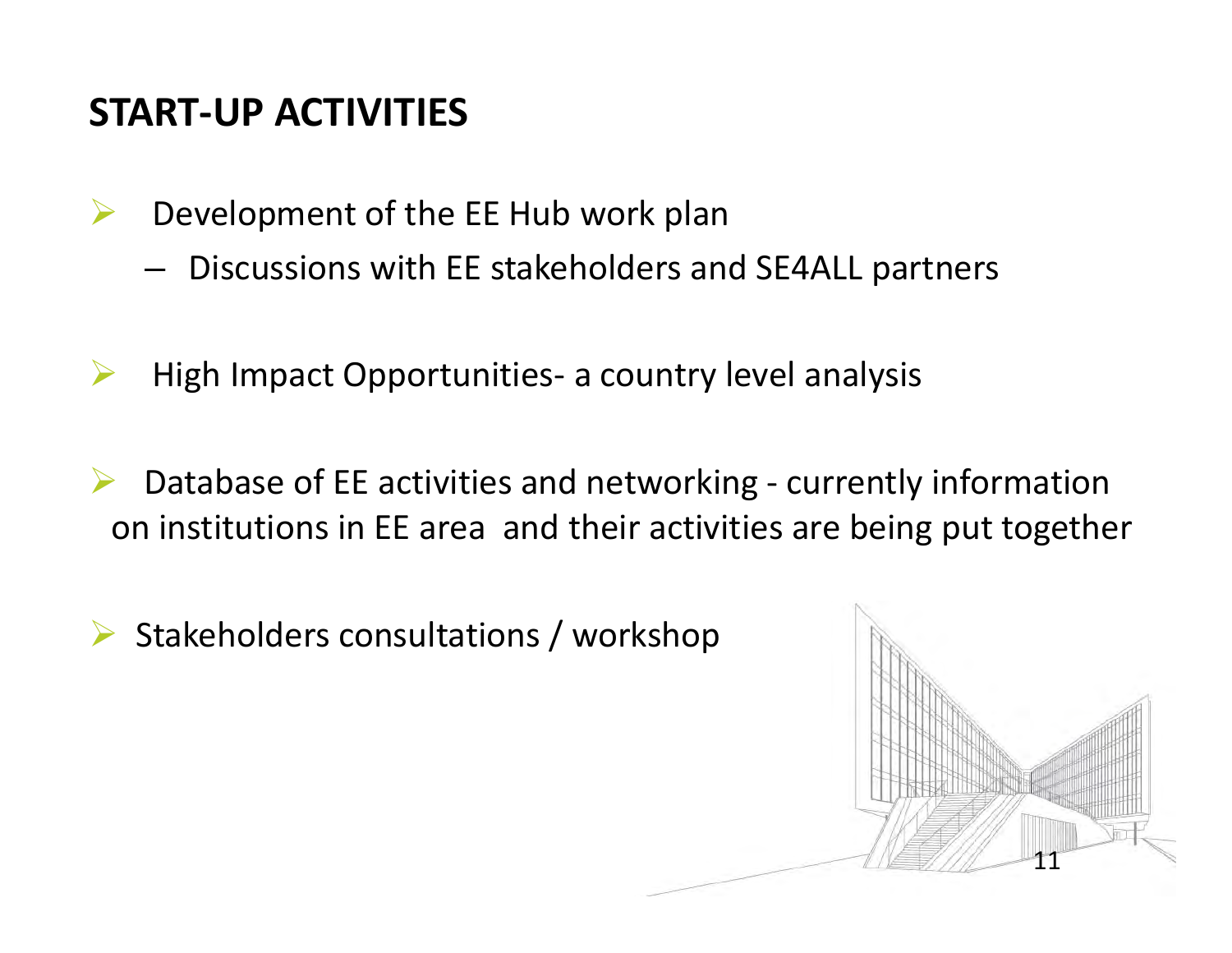### **START‐UP ACTIVITIES**

- $\blacktriangleright$  Development of the EE Hub work plan
	- – $-$  Discussions with EE stakeholders and SE4ALL partners
- ▶ High Impact Opportunities‐ <sup>a</sup> country level analysis
- $\blacktriangleright$  Database of EE activities and networking ‐ currently information on institutions in EE area and their activities are being put together
- $\triangleright$  Stakeholders consultations / workshop

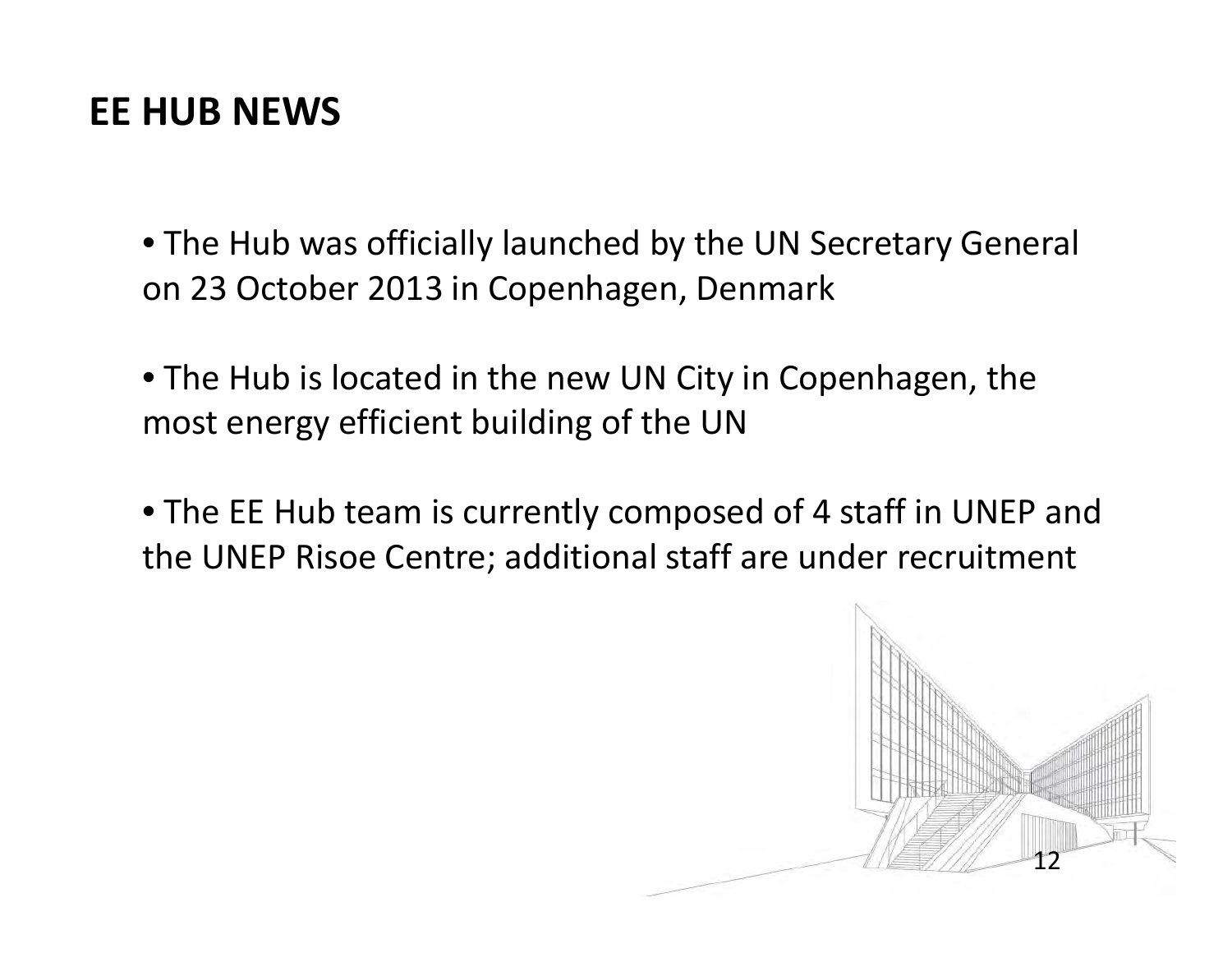#### **EE HUB NEWS**

• The Hub was officially launched by the UN Secretary General on 23 October 2013 in Copenhagen, Denmark

• The Hub is located in the new UN City in Copenhagen, the most energy efficient building of the UN

• The EE Hub team is currently composed of 4 staff in UNEP and the UNEP Risoe Centre; additional staff are under recruitment